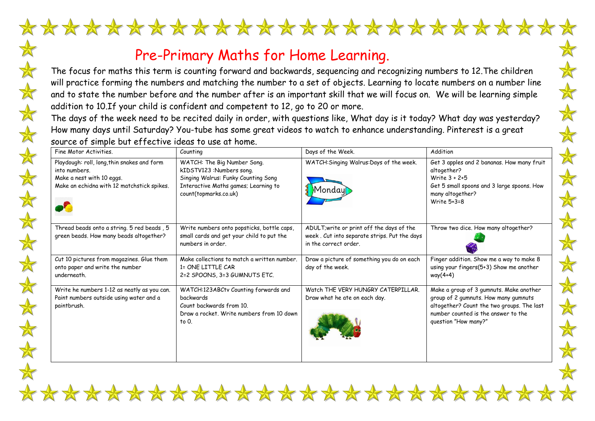## Pre-Primary Maths for Home Learning.

计外科技 计结构的分类

The focus for maths this term is counting forward and backwards, sequencing and recognizing numbers to 12.The children will practice forming the numbers and matching the number to a set of objects. Learning to locate numbers on a number line and to state the number before and the number after is an important skill that we will focus on. We will be learning simple addition to 10.If your child is confident and competent to 12, go to 20 or more.

 $\mathbb{X}$ 

 $\bigstar$ 

 $\frac{1}{N}$ 

 $\frac{\lambda}{\Delta}$ 

\*\*\*\*\*\*\*\*\*\*\*\*\*\*\*\*\*\*\*\*\*\*\*\*\*\*\*

The days of the week need to be recited daily in order, with questions like, What day is it today? What day was yesterday? How many days until Saturday? You-tube has some great videos to watch to enhance understanding. Pinterest is a great source of simple but effective ideas to use at home.

| Fine Motor Activities.                                                                                                                  | Counting                                                                                                                                                        | Days of the Week.                                                                                                  | Addition                                                                                                                                                                                     |
|-----------------------------------------------------------------------------------------------------------------------------------------|-----------------------------------------------------------------------------------------------------------------------------------------------------------------|--------------------------------------------------------------------------------------------------------------------|----------------------------------------------------------------------------------------------------------------------------------------------------------------------------------------------|
| Playdough: roll, long, thin snakes and form<br>into numbers.<br>Make a nest with 10 eggs.<br>Make an echidna with 12 matchstick spikes. | WATCH: The Big Number Song.<br>kIDSTV123 :Numbers song.<br>Singing Walrus: Funky Counting Song<br>Interactive Maths games; Learning to<br>count(topmarks.co.uk) | WATCH: Singing Walrus: Days of the week.<br>Mondayi                                                                | Get 3 apples and 2 bananas. How many fruit<br>altogether?<br>Write $3 + 2 + 5$<br>Get 5 small spoons and 3 large spoons. How<br>many altogether?<br>Write 5+3=8                              |
| Thread beads onto a string. 5 red beads, 5<br>green beads. How many beads altogether?                                                   | Write numbers onto popsticks, bottle caps,<br>small cards and get your child to put the<br>numbers in order.                                                    | ADULT; write or print off the days of the<br>week. Cut into separate strips. Put the days<br>in the correct order. | Throw two dice. How many altogether?                                                                                                                                                         |
| Cut 10 pictures from magazines. Glue them<br>onto paper and write the number<br>underneath.                                             | Make collections to match a written number.<br>1= ONE LITTLE CAR<br>2=2 SPOONS, 3=3 GUMNUTS ETC.                                                                | Draw a picture of something you do on each<br>day of the week.                                                     | Finger addition. Show me a way to make 8<br>using your fingers(5+3) Show me another<br>way(4+4)                                                                                              |
| Write he numbers 1-12 as neatly as you can.<br>Paint numbers outside using water and a<br>paintbrush.                                   | WATCH:123ABCtv Counting forwards and<br>backwards<br>Count backwards from 10.<br>Draw a rocket. Write numbers from 10 down<br>to $0$ .                          | Watch THE VERY HUNGRY CATERPILLAR.<br>Draw what he ate on each day.                                                | Make a group of 3 gumnuts. Make another<br>group of 2 gumnuts. How many gumnuts<br>altogether? Count the two groups. The last<br>number counted is the answer to the<br>question "How many?" |

\*\*\*\*\*\*\*\*\*\*\*\*\*\*\*\*\*\*\*\*\*\*\*\*\*\*\*